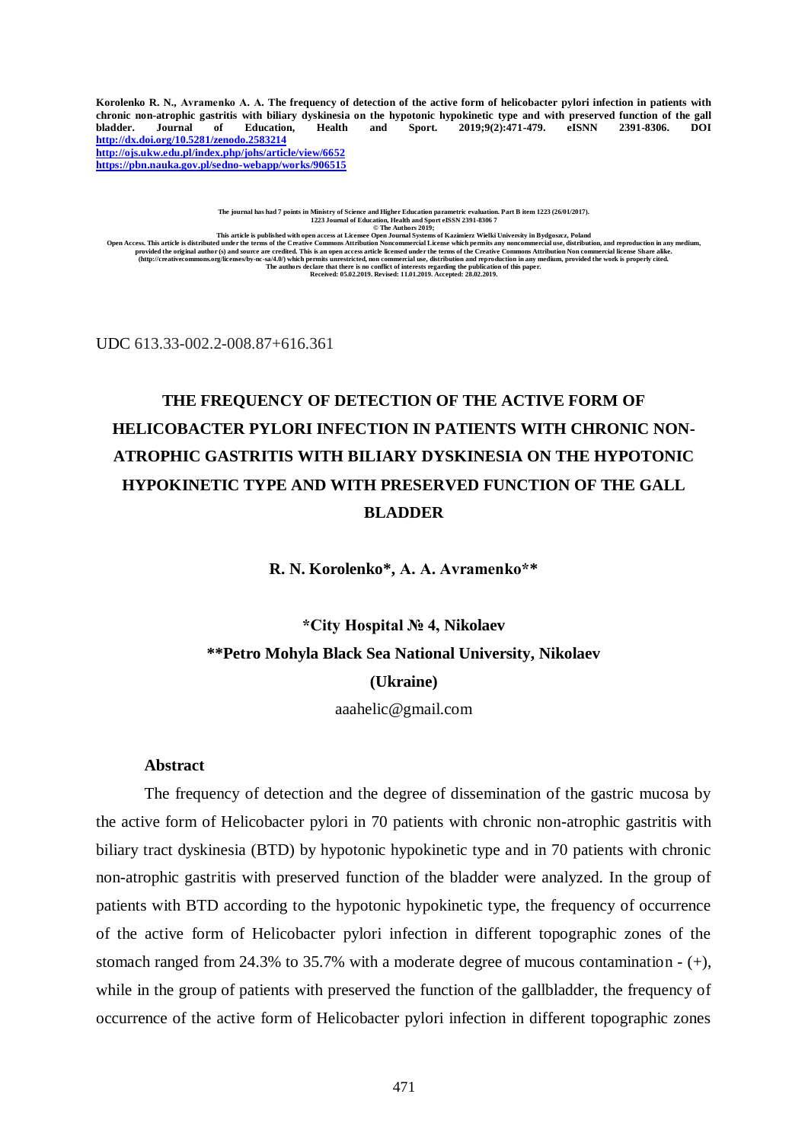Korolenko R. N., Avramenko A. A. The frequency of detection of the active form of helicobacter pylori infection in patients with chronic non-atrophic gastritis with biliary dyskinesia on the hypotonic hypokinetic type and with preserved function of the gall<br>bladder. Journal of Education. Health and Sport. 2019:9(2):471-479. eISNN 2391-8306. DOI bladder. Journal of Education, Health and Sport. 2019;9(2):471-479. **<http://dx.doi.org/10.5281/zenodo.2583214> <http://ojs.ukw.edu.pl/index.php/johs/article/view/6652> <https://pbn.nauka.gov.pl/sedno-webapp/works/906515>**

The journal has had 7 points in Ministry of Science and Higher Education parametric evaluation. Part B item 1223 (26/01/2017).<br>1223 Journal of Education, Health and Sport eISSN 2391-8306 7<br>© The Authors 2019;

This article is published with open access at Licensee Open Journal Systems of Kazimierz Wielki University in Bydgoszz, Poland<br>Open Access. This article is distribution and reproduction in any medium,<br>provided the original

UDC 613.33-002.2-008.87+616.361

# **THE FREQUENCY OF DETECTION OF THE ACTIVE FORM OF HELICOBACTER PYLORI INFECTION IN PATIENTS WITH CHRONIC NON-ATROPHIC GASTRITIS WITH BILIARY DYSKINESIA ON THE HYPOTONIC HYPOKINETIC TYPE AND WITH PRESERVED FUNCTION OF THE GALL BLADDER**

**R. N. Korolenko\*, А. А. Avramenko\*\***

# **\*City Hospital № 4, Nikolaev \*\*Petro Mohyla Black Sea National University, Nikolaev (Ukraine)**

aaahelic@gmail.com

### **Abstract**

The frequency of detection and the degree of dissemination of the gastric mucosa by the active form of Helicobacter pylori in 70 patients with chronic non-atrophic gastritis with biliary tract dyskinesia (BTD) by hypotonic hypokinetic type and in 70 patients with chronic non-atrophic gastritis with preserved function of the bladder were analyzed. In the group of patients with BTD according to the hypotonic hypokinetic type, the frequency of occurrence of the active form of Helicobacter pylori infection in different topographic zones of the stomach ranged from 24.3% to 35.7% with a moderate degree of mucous contamination  $- (+)$ , while in the group of patients with preserved the function of the gallbladder, the frequency of occurrence of the active form of Helicobacter pylori infection in different topographic zones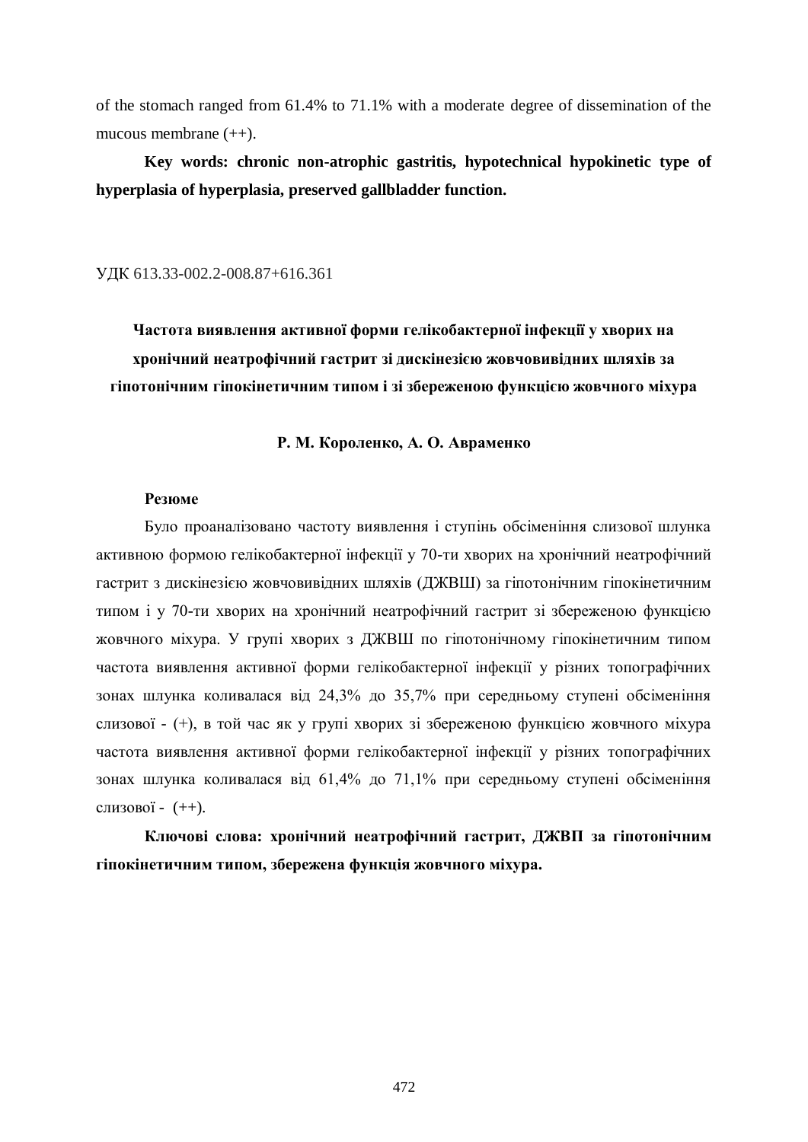of the stomach ranged from 61.4% to 71.1% with a moderate degree of dissemination of the mucous membrane (++).

**Key words: chronic non-atrophic gastritis, hypotechnical hypokinetic type of hyperplasia of hyperplasia, preserved gallbladder function.**

УДК 613.33-002.2-008.87+616.361

**Частота виявлення активної форми гелікобактерної інфекції у хворих на хронічний неатрофічний гастрит зі дискінезією жовчовивідних шляхів за гіпотонічним гіпокінетичним типом і зі збереженою функцією жовчного міхура**

**Р. М. Короленко, А. О. Авраменко**

### **Резюме**

Було проаналізовано частоту виявлення і ступінь обсіменіння слизової шлунка активною формою гелікобактерної інфекції у 70-ти хворих на хронічний неатрофічний гастрит з дискінезією жовчовивідних шляхів (ДЖВШ) за гіпотонічним гіпокінетичним типом і у 70-ти хворих на хронічний неатрофічний гастрит зі збереженою функцією жовчного міхура. У групі хворих з ДЖВШ по гіпотонічному гіпокінетичним типом частота виявлення активної форми гелікобактерної інфекції у різних топографічних зонах шлунка коливалася від 24,3% до 35,7% при середньому ступені обсіменіння слизової - (+), в той час як у групі хворих зі збереженою функцією жовчного міхура частота виявлення активної форми гелікобактерної інфекції у різних топографічних зонах шлунка коливалася від 61,4% до 71,1% при середньому ступені обсіменіння слизової - (++).

**Ключові слова: хронічний неатрофічний гастрит, ДЖВП за гіпотонічним гіпокінетичним типом, збережена функція жовчного міхура.**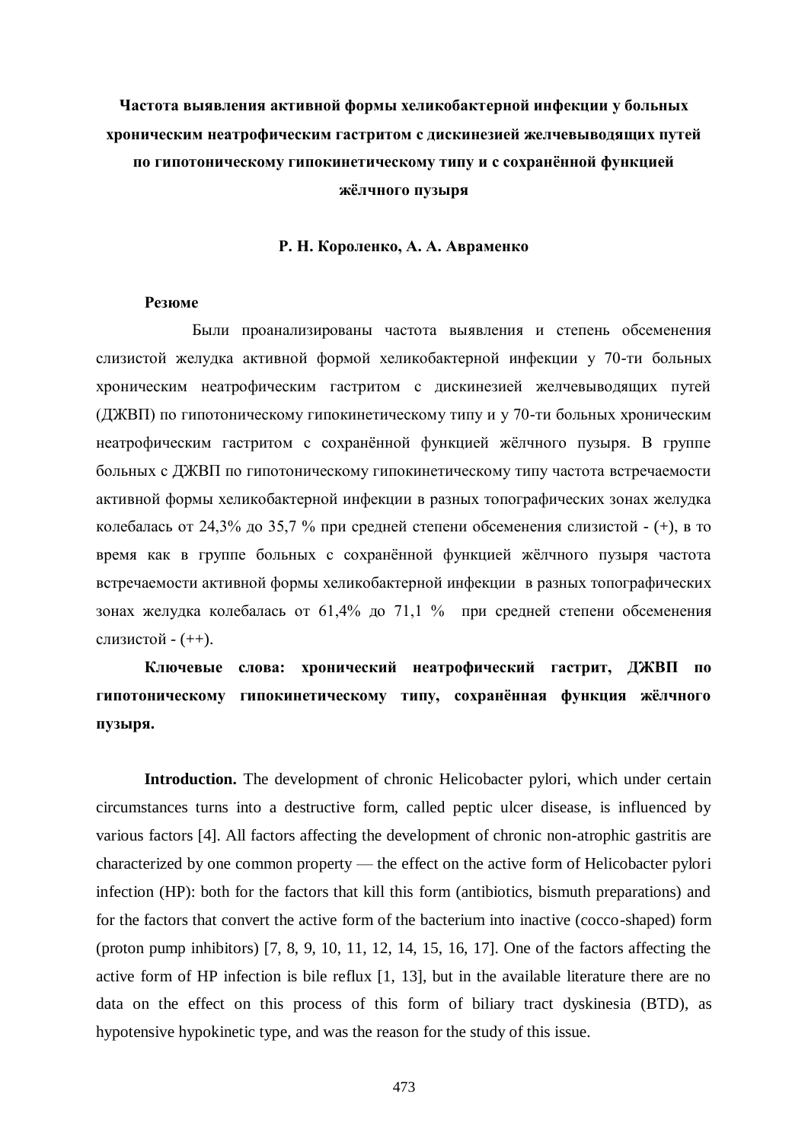## **Частота выявления активной формы хеликобактерной инфекции у больных хроническим неатрофическим гастритом с дискинезией желчевыводящих путей по гипотоническому гипокинетическому типу и с сохранённой функцией жёлчного пузыря**

### **Р. Н. Короленко, А. А. Авраменко**

#### **Резюме**

Были проанализированы частота выявления и степень обсеменения слизистой желудка активной формой хеликобактерной инфекции у 70-ти больных хроническим неатрофическим гастритом с дискинезией желчевыводящих путей (ДЖВП) по гипотоническому гипокинетическому типу и у 70-ти больных хроническим неатрофическим гастритом с сохранённой функцией жёлчного пузыря. В группе больных с ДЖВП по гипотоническому гипокинетическому типу частота встречаемости активной формы хеликобактерной инфекции в разных топографических зонах желудка колебалась от 24,3% до 35,7 % при средней степени обсеменения слизистой - (+), в то время как в группе больных с сохранённой функцией жёлчного пузыря частота встречаемости активной формы хеликобактерной инфекции в разных топографических зонах желудка колебалась от 61,4% до 71,1 % при средней степени обсеменения слизистой - (++).

## **Ключевые слова: хронический неатрофический гастрит, ДЖВП по гипотоническому гипокинетическому типу, сохранённая функция жёлчного пузыря.**

**Introduction.** The development of chronic Helicobacter pylori, which under certain circumstances turns into a destructive form, called peptic ulcer disease, is influenced by various factors [4]. All factors affecting the development of chronic non-atrophic gastritis are characterized by one common property — the effect on the active form of Helicobacter pylori infection (HP): both for the factors that kill this form (antibiotics, bismuth preparations) and for the factors that convert the active form of the bacterium into inactive (cocco-shaped) form (proton pump inhibitors) [7, 8, 9, 10, 11, 12, 14, 15, 16, 17]. One of the factors affecting the active form of HP infection is bile reflux [1, 13], but in the available literature there are no data on the effect on this process of this form of biliary tract dyskinesia (BTD), as hypotensive hypokinetic type, and was the reason for the study of this issue.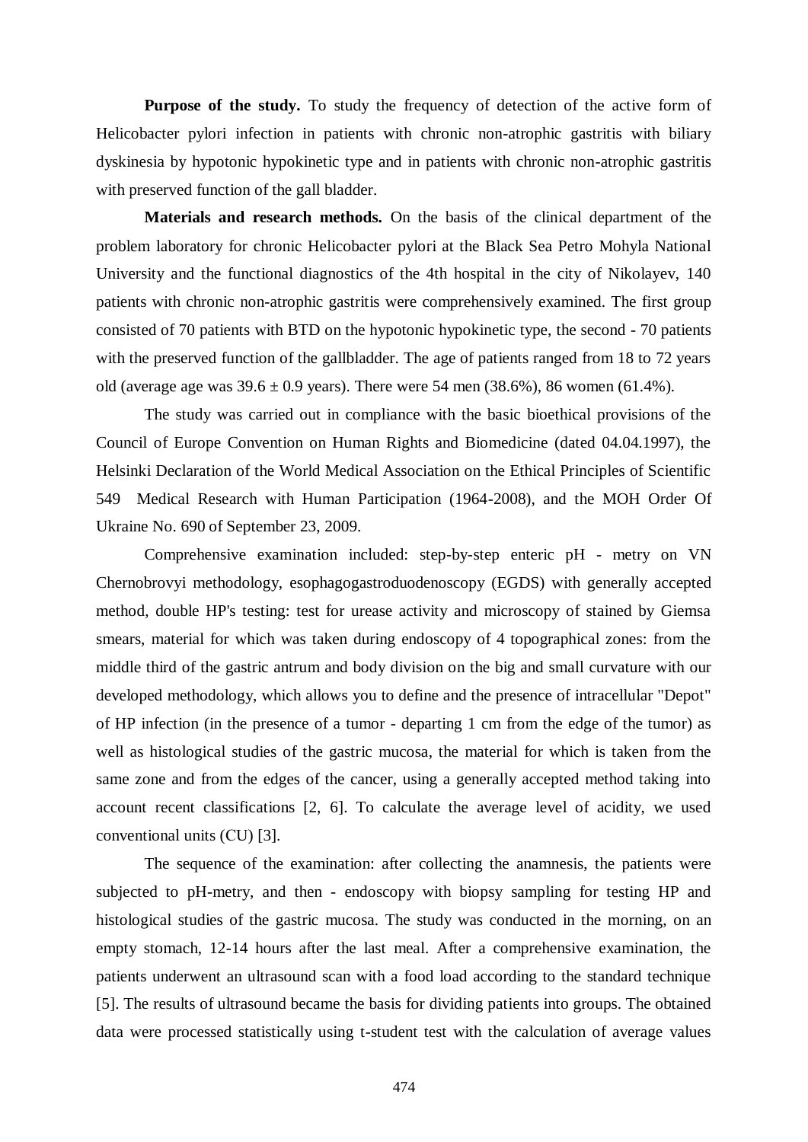**Purpose of the study.** To study the frequency of detection of the active form of Helicobacter pylori infection in patients with chronic non-atrophic gastritis with biliary dyskinesia by hypotonic hypokinetic type and in patients with chronic non-atrophic gastritis with preserved function of the gall bladder.

**Materials and research methods.** On the basis of the clinical department of the problem laboratory for chronic Helicobacter pylori at the Black Sea Petro Mohyla National University and the functional diagnostics of the 4th hospital in the city of Nikolayev, 140 patients with chronic non-atrophic gastritis were comprehensively examined. The first group consisted of 70 patients with BTD on the hypotonic hypokinetic type, the second - 70 patients with the preserved function of the gallbladder. The age of patients ranged from 18 to 72 years old (average age was  $39.6 \pm 0.9$  years). There were 54 men (38.6%), 86 women (61.4%).

The study was carried out in compliance with the basic bioethical provisions of the Council of Europe Convention on Human Rights and Biomedicine (dated 04.04.1997), the Helsinki Declaration of the World Medical Association on the Ethical Principles of Scientific 549 Medical Research with Human Participation (1964-2008), and the MOH Order Of Ukraine No. 690 of September 23, 2009.

Comprehensive examination included: step-by-step enteric pH - metry on VN Chernobrovyi methodology, esophagogastroduodenoscopy (EGDS) with generally accepted method, double HP's testing: test for urease activity and microscopy of stained by Giemsa smears, material for which was taken during endoscopy of 4 topographical zones: from the middle third of the gastric antrum and body division on the big and small curvature with our developed methodology, which allows you to define and the presence of intracellular "Depot" of HP infection (in the presence of a tumor - departing 1 cm from the edge of the tumor) as well as histological studies of the gastric mucosa, the material for which is taken from the same zone and from the edges of the cancer, using a generally accepted method taking into account recent classifications [2, 6]. To calculate the average level of acidity, we used conventional units (СU) [3].

The sequence of the examination: after collecting the anamnesis, the patients were subjected to pH-metry, and then - endoscopy with biopsy sampling for testing HP and histological studies of the gastric mucosa. The study was conducted in the morning, on an empty stomach, 12-14 hours after the last meal. After a comprehensive examination, the patients underwent an ultrasound scan with a food load according to the standard technique [5]. The results of ultrasound became the basis for dividing patients into groups. The obtained data were processed statistically using t-student test with the calculation of average values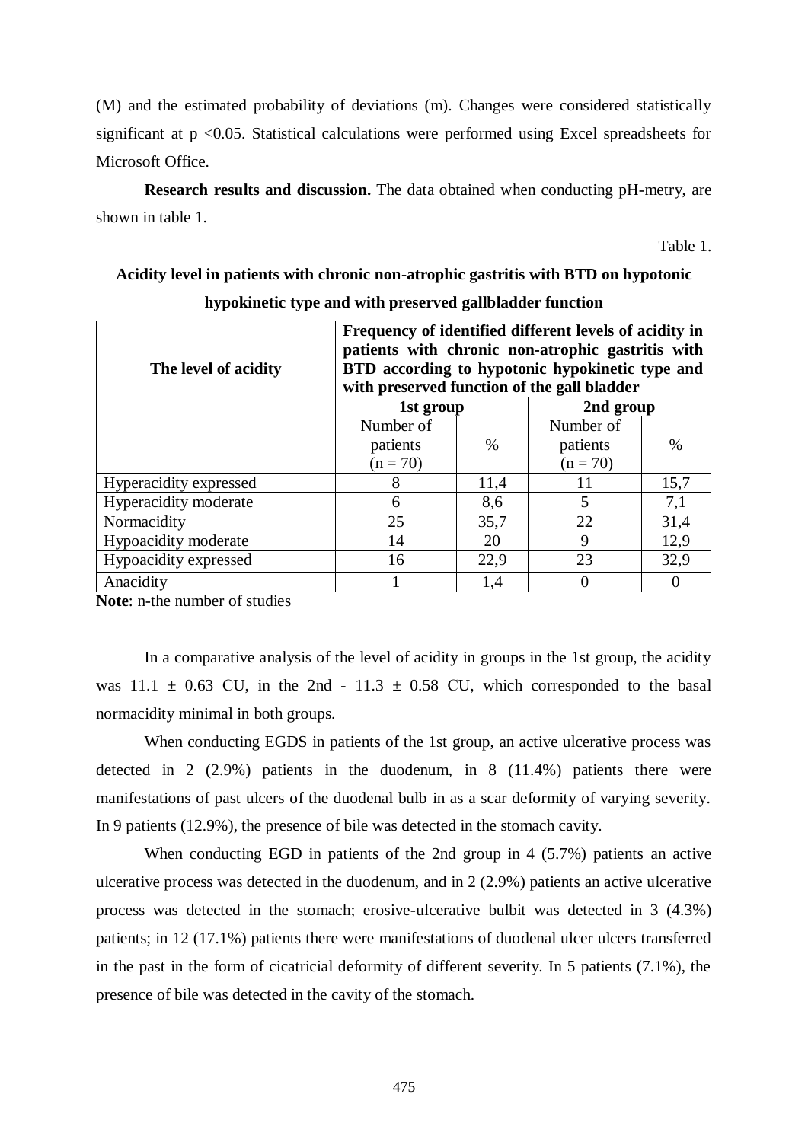(M) and the estimated probability of deviations (m). Changes were considered statistically significant at p <0.05. Statistical calculations were performed using Excel spreadsheets for Microsoft Office.

**Research results and discussion.** The data obtained when conducting pH-metry, are shown in table 1.

Table 1.

## **Acidity level in patients with chronic non-atrophic gastritis with BTD on hypotonic hypokinetic type and with preserved gallbladder function**

| The level of acidity   | Frequency of identified different levels of acidity in<br>patients with chronic non-atrophic gastritis with<br>BTD according to hypotonic hypokinetic type and<br>with preserved function of the gall bladder |      |            |      |  |
|------------------------|---------------------------------------------------------------------------------------------------------------------------------------------------------------------------------------------------------------|------|------------|------|--|
|                        | 1st group                                                                                                                                                                                                     |      | 2nd group  |      |  |
|                        | Number of                                                                                                                                                                                                     |      | Number of  |      |  |
|                        | patients                                                                                                                                                                                                      | $\%$ | patients   | $\%$ |  |
|                        | $(n = 70)$                                                                                                                                                                                                    |      | $(n = 70)$ |      |  |
| Hyperacidity expressed | 8                                                                                                                                                                                                             | 11,4 | 11         | 15,7 |  |
| Hyperacidity moderate  | 6                                                                                                                                                                                                             | 8,6  | 5          | 7,1  |  |
| Normacidity            | 25                                                                                                                                                                                                            | 35,7 | 22         | 31,4 |  |
| Hypoacidity moderate   | 14                                                                                                                                                                                                            | 20   | 9          | 12,9 |  |
| Hypoacidity expressed  | 16                                                                                                                                                                                                            | 22,9 | 23         | 32,9 |  |
| Anacidity              |                                                                                                                                                                                                               | 1,4  | 0          | 0    |  |

**Note**: n-the number of studies

In a comparative analysis of the level of acidity in groups in the 1st group, the acidity was  $11.1 \pm 0.63$  CU, in the 2nd -  $11.3 \pm 0.58$  CU, which corresponded to the basal normacidity minimal in both groups.

When conducting EGDS in patients of the 1st group, an active ulcerative process was detected in 2 (2.9%) patients in the duodenum, in 8 (11.4%) patients there were manifestations of past ulcers of the duodenal bulb in as a scar deformity of varying severity. In 9 patients (12.9%), the presence of bile was detected in the stomach cavity.

When conducting EGD in patients of the 2nd group in 4 (5.7%) patients an active ulcerative process was detected in the duodenum, and in 2 (2.9%) patients an active ulcerative process was detected in the stomach; erosive-ulcerative bulbit was detected in 3 (4.3%) patients; in 12 (17.1%) patients there were manifestations of duodenal ulcer ulcers transferred in the past in the form of cicatricial deformity of different severity. In 5 patients (7.1%), the presence of bile was detected in the cavity of the stomach.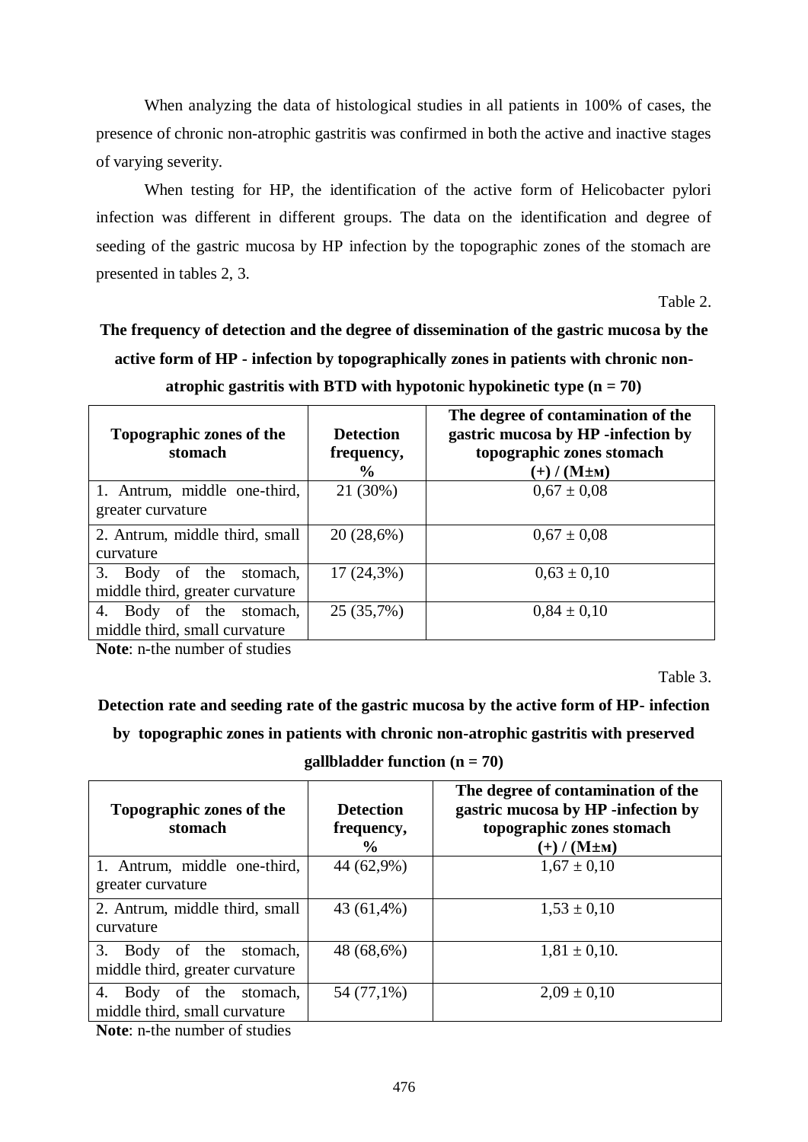When analyzing the data of histological studies in all patients in 100% of cases, the presence of chronic non-atrophic gastritis was confirmed in both the active and inactive stages of varying severity.

When testing for HP, the identification of the active form of Helicobacter pylori infection was different in different groups. The data on the identification and degree of seeding of the gastric mucosa by HP infection by the topographic zones of the stomach are presented in tables 2, 3.

Table 2.

## **The frequency of detection and the degree of dissemination of the gastric mucosa by the active form of HP - infection by topographically zones in patients with chronic nonatrophic gastritis with BTD with hypotonic hypokinetic type (n = 70)**

| Topographic zones of the<br>stomach | <b>Detection</b><br>frequency,<br>$\frac{6}{9}$ | The degree of contamination of the<br>gastric mucosa by HP -infection by<br>topographic zones stomach<br>$(+)$ / (M $\pm$ M) |
|-------------------------------------|-------------------------------------------------|------------------------------------------------------------------------------------------------------------------------------|
| 1. Antrum, middle one-third,        | 21 (30%)                                        | $0.67 \pm 0.08$                                                                                                              |
| greater curvature                   |                                                 |                                                                                                                              |
| 2. Antrum, middle third, small      | 20(28,6%)                                       | $0.67 \pm 0.08$                                                                                                              |
| curvature                           |                                                 |                                                                                                                              |
| 3.<br>Body of the<br>stomach,       | $17(24,3\%)$                                    | $0.63 \pm 0.10$                                                                                                              |
| middle third, greater curvature     |                                                 |                                                                                                                              |
| of the stomach,<br>Body<br>4.       | 25 (35,7%)                                      | $0.84 \pm 0.10$                                                                                                              |
| middle third, small curvature       |                                                 |                                                                                                                              |

**Note**: n-the number of studies

Table 3.

**Detection rate and seeding rate of the gastric mucosa by the active form of HP- infection**

**by topographic zones in patients with chronic non-atrophic gastritis with preserved** 

**gallbladder function (n = 70)**

| Topographic zones of the<br>stomach                            | <b>Detection</b><br>frequency,<br>$\frac{6}{6}$ | The degree of contamination of the<br>gastric mucosa by HP -infection by<br>topographic zones stomach<br>$(+) / (M \pm M)$ |
|----------------------------------------------------------------|-------------------------------------------------|----------------------------------------------------------------------------------------------------------------------------|
| 1. Antrum, middle one-third,<br>greater curvature              | 44 (62,9%)                                      | $1,67 \pm 0,10$                                                                                                            |
| 2. Antrum, middle third, small<br>curvature                    | 43 (61,4%)                                      | $1,53 \pm 0,10$                                                                                                            |
| 3.<br>Body of the stomach,<br>middle third, greater curvature  | 48 (68,6%)                                      | $1,81 \pm 0,10.$                                                                                                           |
| Body<br>of the stomach,<br>4.<br>middle third, small curvature | 54 (77,1%)                                      | $2,09 \pm 0,10$                                                                                                            |

**Note**: n-the number of studies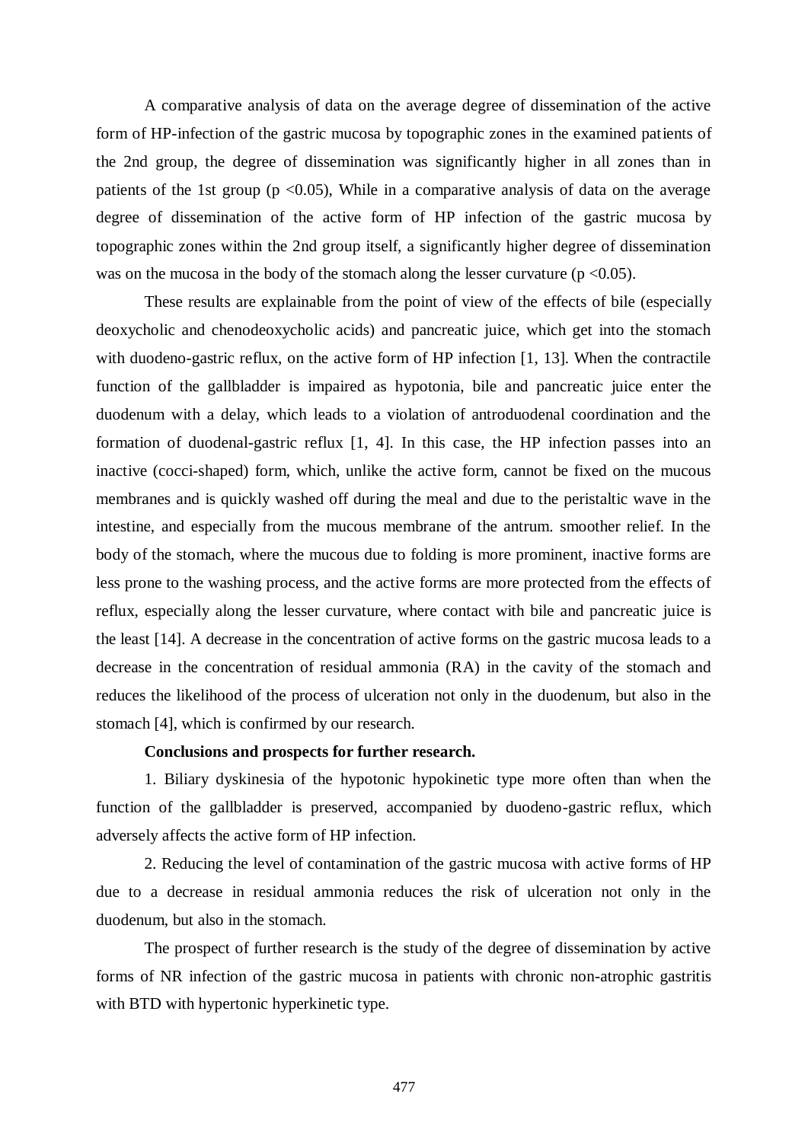A comparative analysis of data on the average degree of dissemination of the active form of HP-infection of the gastric mucosa by topographic zones in the examined patients of the 2nd group, the degree of dissemination was significantly higher in all zones than in patients of the 1st group ( $p \le 0.05$ ), While in a comparative analysis of data on the average degree of dissemination of the active form of HP infection of the gastric mucosa by topographic zones within the 2nd group itself, a significantly higher degree of dissemination was on the mucosa in the body of the stomach along the lesser curvature ( $p < 0.05$ ).

These results are explainable from the point of view of the effects of bile (especially deoxycholic and chenodeoxycholic acids) and pancreatic juice, which get into the stomach with duodeno-gastric reflux, on the active form of HP infection [1, 13]. When the contractile function of the gallbladder is impaired as hypotonia, bile and pancreatic juice enter the duodenum with a delay, which leads to a violation of antroduodenal coordination and the formation of duodenal-gastric reflux [1, 4]. In this case, the HP infection passes into an inactive (cocci-shaped) form, which, unlike the active form, cannot be fixed on the mucous membranes and is quickly washed off during the meal and due to the peristaltic wave in the intestine, and especially from the mucous membrane of the antrum. smoother relief. In the body of the stomach, where the mucous due to folding is more prominent, inactive forms are less prone to the washing process, and the active forms are more protected from the effects of reflux, especially along the lesser curvature, where contact with bile and pancreatic juice is the least [14]. A decrease in the concentration of active forms on the gastric mucosa leads to a decrease in the concentration of residual ammonia (RA) in the cavity of the stomach and reduces the likelihood of the process of ulceration not only in the duodenum, but also in the stomach [4], which is confirmed by our research.

## **Conclusions and prospects for further research.**

1. Biliary dyskinesia of the hypotonic hypokinetic type more often than when the function of the gallbladder is preserved, accompanied by duodeno-gastric reflux, which adversely affects the active form of HP infection.

2. Reducing the level of contamination of the gastric mucosa with active forms of HP due to a decrease in residual ammonia reduces the risk of ulceration not only in the duodenum, but also in the stomach.

The prospect of further research is the study of the degree of dissemination by active forms of NR infection of the gastric mucosa in patients with chronic non-atrophic gastritis with BTD with hypertonic hyperkinetic type.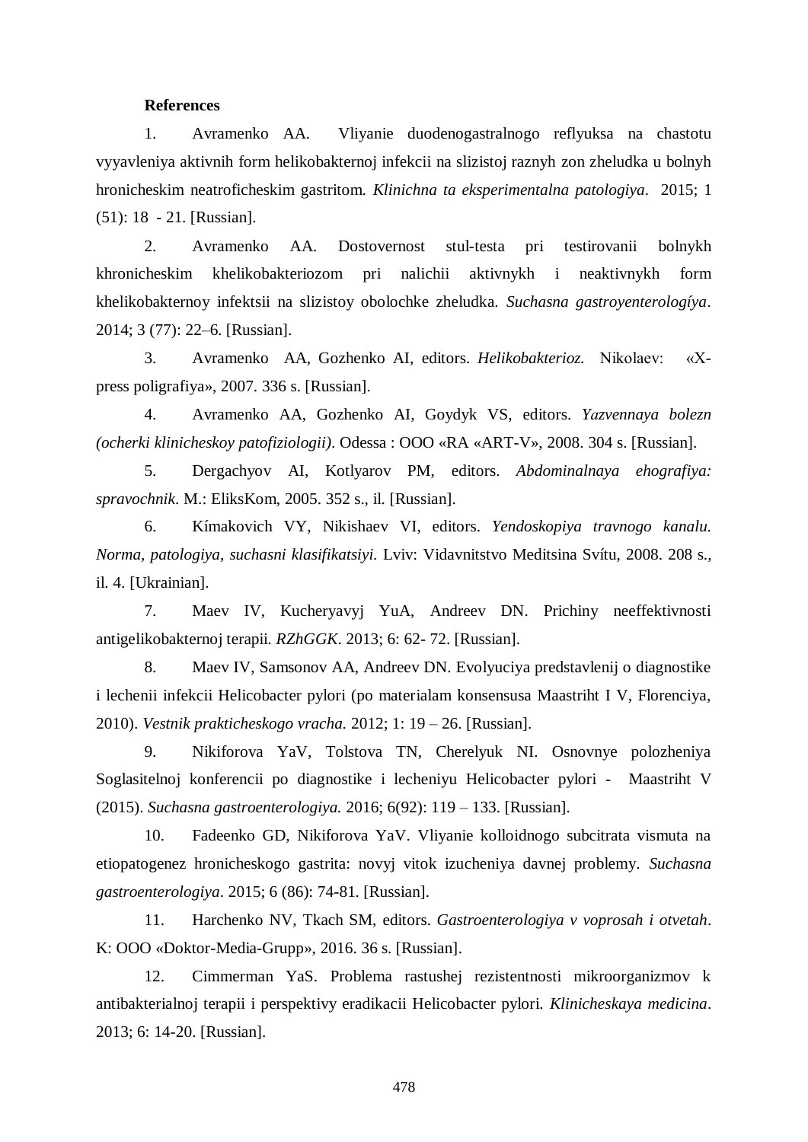### **References**

1. Avramenko AA. Vliyanie duodenogastralnogo reflyuksa na chastotu vyyavleniya aktivnih form helikobakternoj infekcii na slizistoj raznyh zon zheludka u bolnyh hronicheskim neatroficheskim gastritom. *Klinichna ta eksperimentalna patologiya*. 2015; 1 (51): 18 - 21. [Russian].

2. Avramenko AA. Dostovernost stul-testa pri testirovanii bolnykh khronicheskim khelikobakteriozom pri nalichii aktivnykh i neaktivnykh form khelikobakternoy infektsii na slizistoy obolochke zheludka. *Suchasna gastroyenterologíya*. 2014; 3 (77): 22–6. [Russian].

3. Avramenko AA, Gozhenko AI, editors. *Helikobakterioz.* Nikolaev: «Хpress poligrafiya», 2007. 336 s. [Russian].

4. Avramenko AA, Gozhenko AI, Goydyk VS, editors. *Yаzvennaya bolezn (ocherki klinicheskoy patofiziologii)*. Odessa : OOO «RA «ART-V», 2008. 304 s. [Russian].

5. Dergachyov AI, Kotlyarov PM, editors. *Abdominalnaya ehografiya: spravochnik*. M.: EliksKom, 2005. 352 s., il. [Russian].

6. Kímakovich VY, Nikishaev VI, editors. *Yendoskopiya travnogo kanalu. Norma, patologiya, suchasni klasifikatsiyi.* Lviv: Vidavnitstvo Meditsina Svítu, 2008. 208 s., il. 4. [Ukrainian].

7. Maev IV, Kucheryavyj YuA, Andreev DN. Prichiny neeffektivnosti antigelikobakternoj terapii. *RZhGGK*. 2013; 6: 62- 72. [Russian].

8. Maev IV, Samsonov AA, Andreev DN. Evolyuciya predstavlenij o diagnostike i lechenii infekcii Helicobacter pylori (po materialam konsensusa Maastriht I V, Florenciya, 2010). *Vestnik prakticheskogo vracha.* 2012; 1: 19 – 26. [Russian].

9. Nikiforova YaV, Tolstova TN, Cherelyuk NI. Osnovnye polozheniya Soglasitelnoj konferencii po diagnostike i lecheniyu Helicobacter pylori - Maastriht V (2015). *Suchasna gastroenterologiya.* 2016; 6(92): 119 – 133. [Russian].

10. Fadeenko GD, Nikiforova YaV. Vliyanie kolloidnogo subcitrata vismuta na etiopatogenez hronicheskogo gastrita: novyj vitok izucheniya davnej problemy. *Suchasna gastroenterologiya*. 2015; 6 (86): 74-81. [Russian].

11. Harchenko NV, Tkach SM, editors. *Gastroenterologiya v voprosah i otvetah*. K: OOO «Doktor-Media-Grupp», 2016. 36 s. [Russian].

12. Cimmerman YaS. Problema rastushej rezistentnosti mikroorganizmov k antibakterialnoj terapii i perspektivy eradikacii Helicobacter pylori. *Klinicheskaya medicina*. 2013; 6: 14-20. [Russian].

478